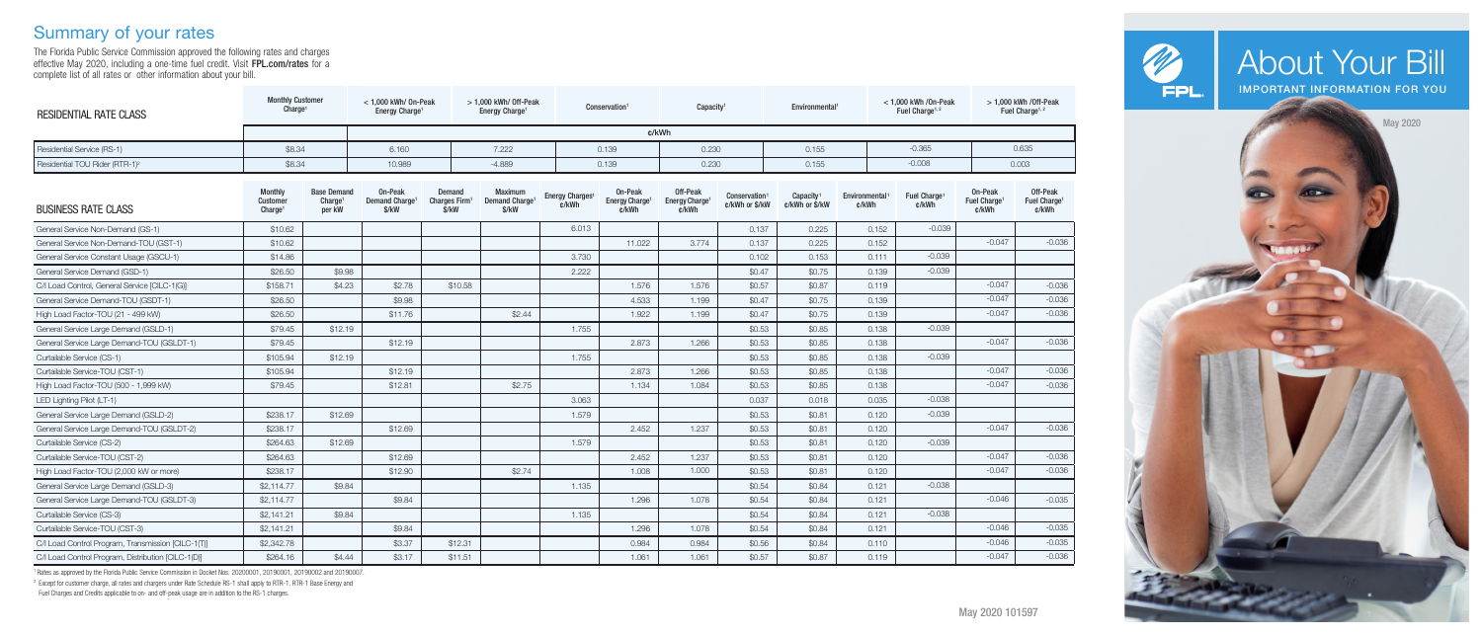# Summary of your rates

The Florida Public Service Commission approved the following rates and charges effective May 2020, including a one-time fuel credit. Visit **FPL.com/rates** for a complete list of all rates or other information about your bill.

| <b>RESIDENTIAL RATE CLASS</b>                      | <b>Monthly Customer</b><br>Charge <sup>1</sup>    |                                                     | $<$ 1.000 kWh/ 0n-Peak<br>Energy Charge <sup>1</sup> |                                              | $>1.000$ kWh/ Off-Peak<br>Energy Charge <sup>1</sup>  |                                      | Conservation <sup>1</sup>                      |                                                 | Capacity <sup>®</sup>                 |                                         | Environmental <sup>1</sup> | $<$ 1,000 kWh /0n-Peak<br>Fuel Charge <sup>1, 2</sup> | $> 1.000$ kWh /Off-Peak<br>Fuel Charge <sup>1, 2</sup> |                                               |  |
|----------------------------------------------------|---------------------------------------------------|-----------------------------------------------------|------------------------------------------------------|----------------------------------------------|-------------------------------------------------------|--------------------------------------|------------------------------------------------|-------------------------------------------------|---------------------------------------|-----------------------------------------|----------------------------|-------------------------------------------------------|--------------------------------------------------------|-----------------------------------------------|--|
|                                                    | c/kWh                                             |                                                     |                                                      |                                              |                                                       |                                      |                                                |                                                 |                                       |                                         |                            |                                                       |                                                        |                                               |  |
| Residential Service (RS-1)                         | \$8.34                                            |                                                     | 6.160                                                |                                              | 7.222                                                 |                                      | 0.139                                          |                                                 | 0.230                                 |                                         |                            | $-0.365$                                              |                                                        | 0.635                                         |  |
| Residential TOU Rider (RTR-1) <sup>2</sup>         | \$8.34                                            |                                                     | 10.989                                               |                                              |                                                       |                                      | 0.139                                          | 0.230                                           |                                       | 0.155                                   |                            | $-0.008$                                              |                                                        | 0.003                                         |  |
| <b>BUSINESS RATE CLASS</b>                         | <b>Monthly</b><br>Customer<br>Charge <sup>1</sup> | <b>Base Demand</b><br>Charge <sup>1</sup><br>per kW | On-Peak<br>Demand Charge <sup>1</sup><br>\$/kW       | Demand<br>Charges Firm <sup>1</sup><br>\$/kW | <b>Maximum</b><br>Demand Charge <sup>1</sup><br>\$/kW | Energy Charges <sup>1</sup><br>c/kWh | On-Peak<br>Energy Charge <sup>1</sup><br>c/kWh | Off-Peak<br>Energy Charge <sup>1</sup><br>c/kWh | <b>Conservation</b><br>c/kWh or \$/kW | Capacity <sup>1</sup><br>c/kWh or \$/kW | Environmental<br>c/kWh     | Fuel Charge <sup>1</sup><br>¢/kWh                     | On-Peak<br>Fuel Charge <sup>1</sup><br>c/kWh           | Off-Peak<br>Fuel Charge <sup>1</sup><br>c/kWh |  |
| General Service Non-Demand (GS-1)                  | \$10.62                                           |                                                     |                                                      |                                              |                                                       | 6.013                                |                                                |                                                 | 0.137                                 | 0.225                                   | 0.152                      | $-0.039$                                              |                                                        |                                               |  |
| General Service Non-Demand-TOU (GST-1)             | \$10.62                                           |                                                     |                                                      |                                              |                                                       |                                      | 11.022                                         | 3.774                                           | 0.137                                 | 0.225                                   | 0.152                      |                                                       | $-0.047$                                               | $-0.036$                                      |  |
| General Service Constant Usage (GSCU-1)            | \$14.86                                           |                                                     |                                                      |                                              |                                                       | 3.730                                |                                                |                                                 | 0.102                                 | 0.153                                   | 0.111                      | $-0.039$                                              |                                                        |                                               |  |
| General Service Demand (GSD-1)                     | \$26,50                                           | \$9.98                                              |                                                      |                                              |                                                       | 2.222                                |                                                |                                                 | \$0.47                                | \$0.75                                  | 0.139                      | $-0.039$                                              |                                                        |                                               |  |
| C/I Load Control, General Service [CILC-1(G)]      | \$158.71                                          | \$4.23                                              | \$2.78                                               | \$10.58                                      |                                                       |                                      | 1.576                                          | 1.576                                           | \$0.57                                | \$0.87                                  | 0.119                      |                                                       | $-0.047$                                               | $-0.036$                                      |  |
| General Service Demand-TOU (GSDT-1)                | \$26.50                                           |                                                     | \$9.98                                               |                                              |                                                       |                                      | 4.533                                          | 1.199                                           | \$0.47                                | \$0.75                                  | 0.139                      |                                                       | $-0.047$                                               | $-0.036$                                      |  |
| High Load Factor-TOU (21 - 499 kW)                 | \$26.50                                           |                                                     | \$11.76                                              |                                              | \$2.44                                                |                                      | 1.922                                          | 1.199                                           | \$0.47                                | \$0.75                                  | 0.139                      |                                                       | $-0.047$                                               | $-0.036$                                      |  |
| General Service Large Demand (GSLD-1)              | \$79.45                                           | \$12.19                                             |                                                      |                                              |                                                       | 1.755                                |                                                |                                                 | \$0.53                                | \$0.85                                  | 0.138                      | $-0.039$                                              |                                                        |                                               |  |
| General Service Large Demand-TOU (GSLDT-1)         | \$79.45                                           |                                                     | \$12.19                                              |                                              |                                                       |                                      | 2.873                                          | 1.266                                           | \$0.53                                | \$0.85                                  | 0.138                      |                                                       | $-0.047$                                               | $-0.036$                                      |  |
| Curtailable Service (CS-1)                         | \$105.94                                          | \$12.19                                             |                                                      |                                              |                                                       | 1.755                                |                                                |                                                 | \$0.53                                | \$0.85                                  | 0.138                      | $-0.039$                                              |                                                        |                                               |  |
| Curtailable Service-TOU (CST-1)                    | \$105.94                                          |                                                     | \$12.19                                              |                                              |                                                       |                                      | 2.873                                          | 1.266                                           | \$0.53                                | \$0.85                                  | 0.138                      |                                                       | $-0.047$                                               | $-0.036$                                      |  |
| High Load Factor-TOU (500 - 1,999 KW)              | \$79.45                                           |                                                     | \$12.81                                              |                                              | \$2.75                                                |                                      | 1.134                                          | 1.084                                           | \$0.53                                | \$0.85                                  | 0.138                      |                                                       | $-0.047$                                               | $-0.036$                                      |  |
| LED Lighting Pilot (LT-1)                          |                                                   |                                                     |                                                      |                                              |                                                       | 3.063                                |                                                |                                                 | 0.037                                 | 0.018                                   | 0.035                      | $-0.038$                                              |                                                        |                                               |  |
| General Service Large Demand (GSLD-2)              | \$238.17                                          | \$12.69                                             |                                                      |                                              |                                                       | 1.579                                |                                                |                                                 | \$0.53                                | \$0.81                                  | 0.120                      | $-0.039$                                              |                                                        |                                               |  |
| General Service Large Demand-TOU (GSLDT-2)         | \$238.17                                          |                                                     | \$12.69                                              |                                              |                                                       |                                      | 2.452                                          | 1.237                                           | \$0.53                                | \$0.81                                  | 0.120                      |                                                       | $-0.047$                                               | $-0.036$                                      |  |
| Curtailable Service (CS-2)                         | \$264.63                                          | \$12.69                                             |                                                      |                                              |                                                       | 1.579                                |                                                |                                                 | \$0.53                                | \$0.81                                  | 0.120                      | $-0.039$                                              |                                                        |                                               |  |
| Curtailable Service-TOU (CST-2)                    | \$264.63                                          |                                                     | \$12.69                                              |                                              |                                                       |                                      | 2.452                                          | 1.237                                           | \$0.53                                | \$0.81                                  | 0.120                      |                                                       | $-0.047$                                               | $-0.036$                                      |  |
| High Load Factor-TOU (2,000 kW or more)            | \$238.17                                          |                                                     | \$12.90                                              |                                              | \$2.74                                                |                                      | 1.008                                          | 1.000                                           | \$0.53                                | \$0.81                                  | 0.120                      |                                                       | $-0.047$                                               | $-0.036$                                      |  |
| General Service Large Demand (GSLD-3)              | \$2,114.77                                        | \$9.84                                              |                                                      |                                              |                                                       | 1.135                                |                                                |                                                 | \$0.54                                | \$0.84                                  | 0.121                      | $-0.038$                                              |                                                        |                                               |  |
| General Service Large Demand-TOU (GSLDT-3)         | \$2,114.77                                        |                                                     | \$9.84                                               |                                              |                                                       |                                      | 1.296                                          | 1.078                                           | \$0.54                                | \$0.84                                  | 0.121                      |                                                       | $-0.046$                                               | $-0.035$                                      |  |
| Curtailable Service (CS-3)                         | \$2,141.21                                        | \$9.84                                              |                                                      |                                              |                                                       | 1.135                                |                                                |                                                 | \$0.54                                | \$0.84                                  | 0.121                      | $-0.038$                                              |                                                        |                                               |  |
| Curtailable Service-TOU (CST-3)                    | \$2,141.21                                        |                                                     | \$9.84                                               |                                              |                                                       |                                      | 1.296                                          | 1.078                                           | \$0.54                                | \$0.84                                  | 0.121                      |                                                       | $-0.046$                                               | $-0.035$                                      |  |
| C/I Load Control Program, Transmission [CILC-1(T)] | \$2,342.78                                        |                                                     | \$3.37                                               | \$12.31                                      |                                                       |                                      | 0.984                                          | 0.984                                           | \$0.56                                | \$0.84                                  | 0.110                      |                                                       | $-0.046$                                               | $-0.035$                                      |  |
| C/I Load Control Program, Distribution [CILC-1(D)] | \$264.16                                          | \$4.44                                              | \$3.17                                               | \$11.51                                      |                                                       |                                      | 1.061                                          | 1.061                                           | \$0.57                                | \$0.87                                  | 0.119                      |                                                       | $-0.047$                                               | $-0.036$                                      |  |

<sup>1</sup>Rates as approved by the Florida Public Service Commission in Docket Nos. 20200001, 20190001, 20190002 and 20190007.

<sup>2</sup> Except for customer charge, all rates and chargers under Rate Schedule RS-1 shall apply to RTR-1. RTR-1 Base Energy and

Fuel Charges and Credits applicable to on- and off-peak usage are in addition to the RS-1 charges. -